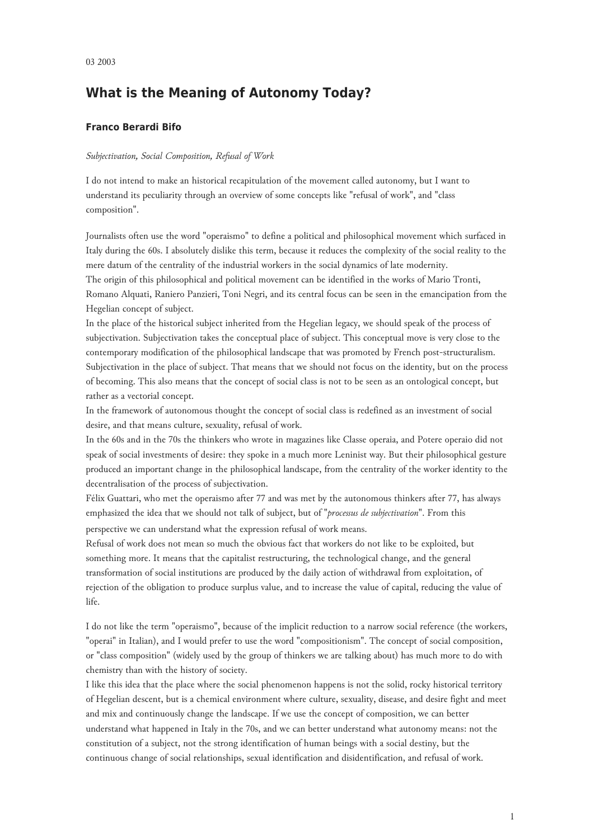# **What is the Meaning of Autonomy Today?**

# **Franco Berardi Bifo**

## *Subjectivation, Social Composition, Refusal of Work*

I do not intend to make an historical recapitulation of the movement called autonomy, but I want to understand its peculiarity through an overview of some concepts like "refusal of work", and "class composition".

Journalists often use the word "operaismo" to define a political and philosophical movement which surfaced in Italy during the 60s. I absolutely dislike this term, because it reduces the complexity of the social reality to the mere datum of the centrality of the industrial workers in the social dynamics of late modernity. The origin of this philosophical and political movement can be identified in the works of Mario Tronti,

Romano Alquati, Raniero Panzieri, Toni Negri, and its central focus can be seen in the emancipation from the Hegelian concept of subject.

In the place of the historical subject inherited from the Hegelian legacy, we should speak of the process of subjectivation. Subjectivation takes the conceptual place of subject. This conceptual move is very close to the contemporary modification of the philosophical landscape that was promoted by French post-structuralism. Subjectivation in the place of subject. That means that we should not focus on the identity, but on the process of becoming. This also means that the concept of social class is not to be seen as an ontological concept, but rather as a vectorial concept.

In the framework of autonomous thought the concept of social class is redefined as an investment of social desire, and that means culture, sexuality, refusal of work.

In the 60s and in the 70s the thinkers who wrote in magazines like Classe operaia, and Potere operaio did not speak of social investments of desire: they spoke in a much more Leninist way. But their philosophical gesture produced an important change in the philosophical landscape, from the centrality of the worker identity to the decentralisation of the process of subjectivation.

Félix Guattari, who met the operaismo after 77 and was met by the autonomous thinkers after 77, has always emphasized the idea that we should not talk of subject, but of "*processus de subjectivation*". From this perspective we can understand what the expression refusal of work means.

Refusal of work does not mean so much the obvious fact that workers do not like to be exploited, but something more. It means that the capitalist restructuring, the technological change, and the general transformation of social institutions are produced by the daily action of withdrawal from exploitation, of rejection of the obligation to produce surplus value, and to increase the value of capital, reducing the value of life.

I do not like the term "operaismo", because of the implicit reduction to a narrow social reference (the workers, "operai" in Italian), and I would prefer to use the word "compositionism". The concept of social composition, or "class composition" (widely used by the group of thinkers we are talking about) has much more to do with chemistry than with the history of society.

I like this idea that the place where the social phenomenon happens is not the solid, rocky historical territory of Hegelian descent, but is a chemical environment where culture, sexuality, disease, and desire fight and meet and mix and continuously change the landscape. If we use the concept of composition, we can better understand what happened in Italy in the 70s, and we can better understand what autonomy means: not the constitution of a subject, not the strong identification of human beings with a social destiny, but the continuous change of social relationships, sexual identification and disidentification, and refusal of work.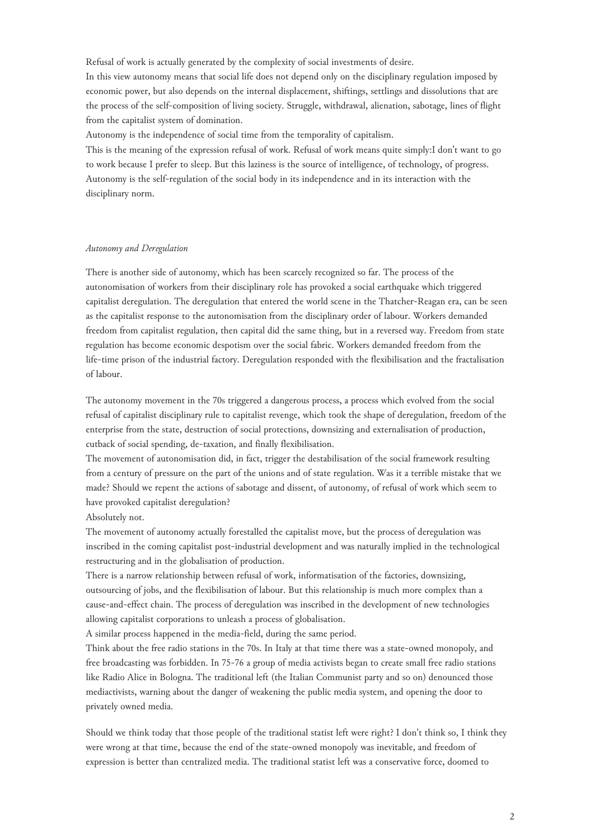Refusal of work is actually generated by the complexity of social investments of desire.

In this view autonomy means that social life does not depend only on the disciplinary regulation imposed by economic power, but also depends on the internal displacement, shiftings, settlings and dissolutions that are the process of the self-composition of living society. Struggle, withdrawal, alienation, sabotage, lines of flight from the capitalist system of domination.

Autonomy is the independence of social time from the temporality of capitalism.

This is the meaning of the expression refusal of work. Refusal of work means quite simply:I don't want to go to work because I prefer to sleep. But this laziness is the source of intelligence, of technology, of progress. Autonomy is the self-regulation of the social body in its independence and in its interaction with the disciplinary norm.

## *Autonomy and Deregulation*

There is another side of autonomy, which has been scarcely recognized so far. The process of the autonomisation of workers from their disciplinary role has provoked a social earthquake which triggered capitalist deregulation. The deregulation that entered the world scene in the Thatcher-Reagan era, can be seen as the capitalist response to the autonomisation from the disciplinary order of labour. Workers demanded freedom from capitalist regulation, then capital did the same thing, but in a reversed way. Freedom from state regulation has become economic despotism over the social fabric. Workers demanded freedom from the life-time prison of the industrial factory. Deregulation responded with the flexibilisation and the fractalisation of labour.

The autonomy movement in the 70s triggered a dangerous process, a process which evolved from the social refusal of capitalist disciplinary rule to capitalist revenge, which took the shape of deregulation, freedom of the enterprise from the state, destruction of social protections, downsizing and externalisation of production, cutback of social spending, de-taxation, and finally flexibilisation.

The movement of autonomisation did, in fact, trigger the destabilisation of the social framework resulting from a century of pressure on the part of the unions and of state regulation. Was it a terrible mistake that we made? Should we repent the actions of sabotage and dissent, of autonomy, of refusal of work which seem to have provoked capitalist deregulation?

Absolutely not.

The movement of autonomy actually forestalled the capitalist move, but the process of deregulation was inscribed in the coming capitalist post-industrial development and was naturally implied in the technological restructuring and in the globalisation of production.

There is a narrow relationship between refusal of work, informatisation of the factories, downsizing, outsourcing of jobs, and the flexibilisation of labour. But this relationship is much more complex than a cause-and-effect chain. The process of deregulation was inscribed in the development of new technologies allowing capitalist corporations to unleash a process of globalisation.

A similar process happened in the media-field, during the same period.

Think about the free radio stations in the 70s. In Italy at that time there was a state-owned monopoly, and free broadcasting was forbidden. In 75-76 a group of media activists began to create small free radio stations like Radio Alice in Bologna. The traditional left (the Italian Communist party and so on) denounced those mediactivists, warning about the danger of weakening the public media system, and opening the door to privately owned media.

Should we think today that those people of the traditional statist left were right? I don't think so, I think they were wrong at that time, because the end of the state-owned monopoly was inevitable, and freedom of expression is better than centralized media. The traditional statist left was a conservative force, doomed to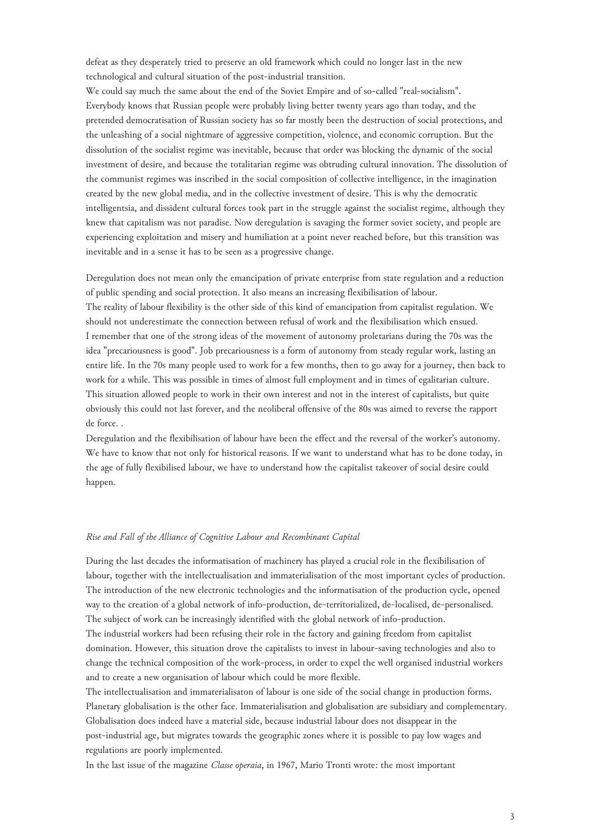defeat as they desperately tried to preserve an old framework which could no longer last in the new technological and cultural situation of the post-industrial transition.

We could say much the same about the end of the Soviet Empire and of so-called "real-socialism". Everybody knows that Russian people were probably living better twenty years ago than today, and the pretended democratisation of Russian society has so far mostly been the destruction of social protections, and the unleashing of a social nightmare of aggressive competition, violence, and economic corruption. But the dissolution of the socialist regime was inevitable, because that order was blocking the dynamic of the social investment of desire, and because the totalitarian regime was obtruding cultural innovation. The dissolution of the communist regimes was inscribed in the social composition of collective intelligence, in the imagination created by the new global media, and in the collective investment of desire. This is why the democratic intelligentsia, and dissident cultural forces took part in the struggle against the socialist regime, although they knew that capitalism was not paradise. Now deregulation is savaging the former soviet society, and people are experiencing exploitation and misery and humiliation at a point never reached before, but this transition was inevitable and in a sense it has to be seen as a progressive change.

Deregulation does not mean only the emancipation of private enterprise from state regulation and a reduction of public spending and social protection. It also means an increasing flexibilisation of labour. The reality of labour flexibility is the other side of this kind of emancipation from capitalist regulation. We should not underestimate the connection between refusal of work and the flexibilisation which ensued. I remember that one of the strong ideas of the movement of autonomy proletarians during the 70s was the idea "precariousness is good". Job precariousness is a form of autonomy from steady regular work, lasting an entire life. In the 70s many people used to work for a few months, then to go away for a journey, then back to work for a while. This was possible in times of almost full employment and in times of egalitarian culture. This situation allowed people to work in their own interest and not in the interest of capitalists, but quite obviously this could not last forever, and the neoliberal offensive of the 80s was aimed to reverse the rapport de force. .

Deregulation and the flexibilisation of labour have been the effect and the reversal of the worker's autonomy. We have to know that not only for historical reasons. If we want to understand what has to be done today, in the age of fully flexibilised labour, we have to understand how the capitalist takeover of social desire could happen.

#### *Rise and Fall of the Alliance of Cognitive Labour and Recombinant Capital*

During the last decades the informatisation of machinery has played a crucial role in the flexibilisation of labour, together with the intellectualisation and immaterialisation of the most important cycles of production. The introduction of the new electronic technologies and the informatisation of the production cycle, opened way to the creation of a global network of info-production, de-territorialized, de-localised, de-personalised. The subject of work can be increasingly identified with the global network of info-production.

The industrial workers had been refusing their role in the factory and gaining freedom from capitalist domination. However, this situation drove the capitalists to invest in labour-saving technologies and also to change the technical composition of the work-process, in order to expel the well organised industrial workers and to create a new organisation of labour which could be more flexible.

The intellectualisation and immaterialisaton of labour is one side of the social change in production forms. Planetary globalisation is the other face. Immaterialisation and globalisation are subsidiary and complementary. Globalisation does indeed have a material side, because industrial labour does not disappear in the post-industrial age, but migrates towards the geographic zones where it is possible to pay low wages and regulations are poorly implemented.

In the last issue of the magazine *Classe operaia*, in 1967, Mario Tronti wrote: the most important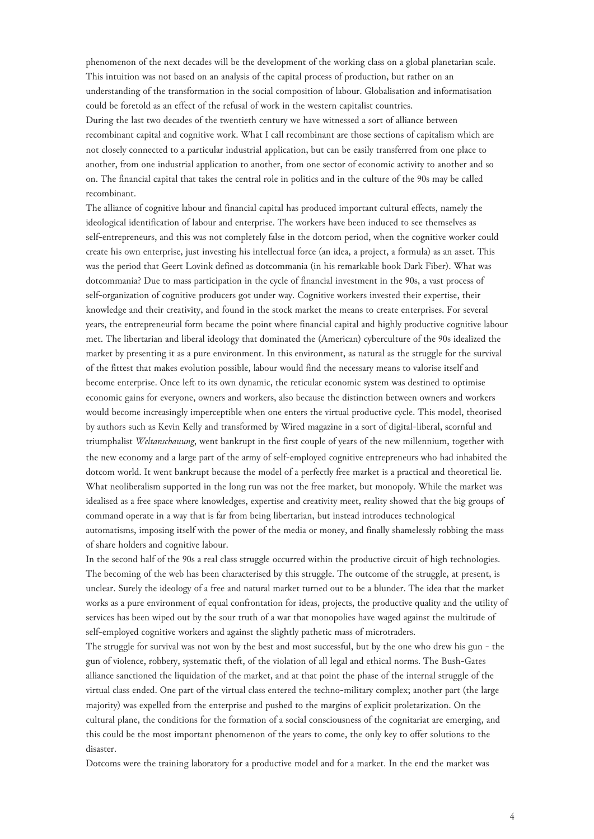phenomenon of the next decades will be the development of the working class on a global planetarian scale. This intuition was not based on an analysis of the capital process of production, but rather on an understanding of the transformation in the social composition of labour. Globalisation and informatisation could be foretold as an effect of the refusal of work in the western capitalist countries. During the last two decades of the twentieth century we have witnessed a sort of alliance between

recombinant capital and cognitive work. What I call recombinant are those sections of capitalism which are not closely connected to a particular industrial application, but can be easily transferred from one place to another, from one industrial application to another, from one sector of economic activity to another and so on. The financial capital that takes the central role in politics and in the culture of the 90s may be called recombinant.

The alliance of cognitive labour and financial capital has produced important cultural effects, namely the ideological identification of labour and enterprise. The workers have been induced to see themselves as self-entrepreneurs, and this was not completely false in the dotcom period, when the cognitive worker could create his own enterprise, just investing his intellectual force (an idea, a project, a formula) as an asset. This was the period that Geert Lovink defined as dotcommania (in his remarkable book Dark Fiber). What was dotcommania? Due to mass participation in the cycle of financial investment in the 90s, a vast process of self-organization of cognitive producers got under way. Cognitive workers invested their expertise, their knowledge and their creativity, and found in the stock market the means to create enterprises. For several years, the entrepreneurial form became the point where financial capital and highly productive cognitive labour met. The libertarian and liberal ideology that dominated the (American) cyberculture of the 90s idealized the market by presenting it as a pure environment. In this environment, as natural as the struggle for the survival of the fittest that makes evolution possible, labour would find the necessary means to valorise itself and become enterprise. Once left to its own dynamic, the reticular economic system was destined to optimise economic gains for everyone, owners and workers, also because the distinction between owners and workers would become increasingly imperceptible when one enters the virtual productive cycle. This model, theorised by authors such as Kevin Kelly and transformed by Wired magazine in a sort of digital-liberal, scornful and triumphalist *Weltanschauung*, went bankrupt in the first couple of years of the new millennium, together with the new economy and a large part of the army of self-employed cognitive entrepreneurs who had inhabited the dotcom world. It went bankrupt because the model of a perfectly free market is a practical and theoretical lie. What neoliberalism supported in the long run was not the free market, but monopoly. While the market was idealised as a free space where knowledges, expertise and creativity meet, reality showed that the big groups of command operate in a way that is far from being libertarian, but instead introduces technological automatisms, imposing itself with the power of the media or money, and finally shamelessly robbing the mass of share holders and cognitive labour.

In the second half of the 90s a real class struggle occurred within the productive circuit of high technologies. The becoming of the web has been characterised by this struggle. The outcome of the struggle, at present, is unclear. Surely the ideology of a free and natural market turned out to be a blunder. The idea that the market works as a pure environment of equal confrontation for ideas, projects, the productive quality and the utility of services has been wiped out by the sour truth of a war that monopolies have waged against the multitude of self-employed cognitive workers and against the slightly pathetic mass of microtraders.

The struggle for survival was not won by the best and most successful, but by the one who drew his gun - the gun of violence, robbery, systematic theft, of the violation of all legal and ethical norms. The Bush-Gates alliance sanctioned the liquidation of the market, and at that point the phase of the internal struggle of the virtual class ended. One part of the virtual class entered the techno-military complex; another part (the large majority) was expelled from the enterprise and pushed to the margins of explicit proletarization. On the cultural plane, the conditions for the formation of a social consciousness of the cognitariat are emerging, and this could be the most important phenomenon of the years to come, the only key to offer solutions to the disaster.

Dotcoms were the training laboratory for a productive model and for a market. In the end the market was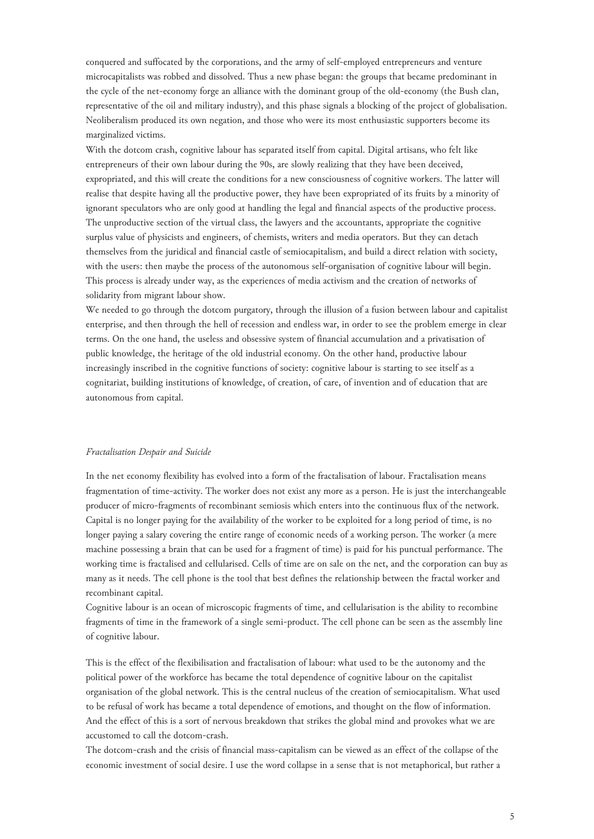conquered and suffocated by the corporations, and the army of self-employed entrepreneurs and venture microcapitalists was robbed and dissolved. Thus a new phase began: the groups that became predominant in the cycle of the net-economy forge an alliance with the dominant group of the old-economy (the Bush clan, representative of the oil and military industry), and this phase signals a blocking of the project of globalisation. Neoliberalism produced its own negation, and those who were its most enthusiastic supporters become its marginalized victims.

With the dotcom crash, cognitive labour has separated itself from capital. Digital artisans, who felt like entrepreneurs of their own labour during the 90s, are slowly realizing that they have been deceived, expropriated, and this will create the conditions for a new consciousness of cognitive workers. The latter will realise that despite having all the productive power, they have been expropriated of its fruits by a minority of ignorant speculators who are only good at handling the legal and financial aspects of the productive process. The unproductive section of the virtual class, the lawyers and the accountants, appropriate the cognitive surplus value of physicists and engineers, of chemists, writers and media operators. But they can detach themselves from the juridical and financial castle of semiocapitalism, and build a direct relation with society, with the users: then maybe the process of the autonomous self-organisation of cognitive labour will begin. This process is already under way, as the experiences of media activism and the creation of networks of solidarity from migrant labour show.

We needed to go through the dotcom purgatory, through the illusion of a fusion between labour and capitalist enterprise, and then through the hell of recession and endless war, in order to see the problem emerge in clear terms. On the one hand, the useless and obsessive system of financial accumulation and a privatisation of public knowledge, the heritage of the old industrial economy. On the other hand, productive labour increasingly inscribed in the cognitive functions of society: cognitive labour is starting to see itself as a cognitariat, building institutions of knowledge, of creation, of care, of invention and of education that are autonomous from capital.

#### *Fractalisation Despair and Suicide*

In the net economy flexibility has evolved into a form of the fractalisation of labour. Fractalisation means fragmentation of time-activity. The worker does not exist any more as a person. He is just the interchangeable producer of micro-fragments of recombinant semiosis which enters into the continuous flux of the network. Capital is no longer paying for the availability of the worker to be exploited for a long period of time, is no longer paying a salary covering the entire range of economic needs of a working person. The worker (a mere machine possessing a brain that can be used for a fragment of time) is paid for his punctual performance. The working time is fractalised and cellularised. Cells of time are on sale on the net, and the corporation can buy as many as it needs. The cell phone is the tool that best defines the relationship between the fractal worker and recombinant capital.

Cognitive labour is an ocean of microscopic fragments of time, and cellularisation is the ability to recombine fragments of time in the framework of a single semi-product. The cell phone can be seen as the assembly line of cognitive labour.

This is the effect of the flexibilisation and fractalisation of labour: what used to be the autonomy and the political power of the workforce has became the total dependence of cognitive labour on the capitalist organisation of the global network. This is the central nucleus of the creation of semiocapitalism. What used to be refusal of work has became a total dependence of emotions, and thought on the flow of information. And the effect of this is a sort of nervous breakdown that strikes the global mind and provokes what we are accustomed to call the dotcom-crash.

The dotcom-crash and the crisis of financial mass-capitalism can be viewed as an effect of the collapse of the economic investment of social desire. I use the word collapse in a sense that is not metaphorical, but rather a